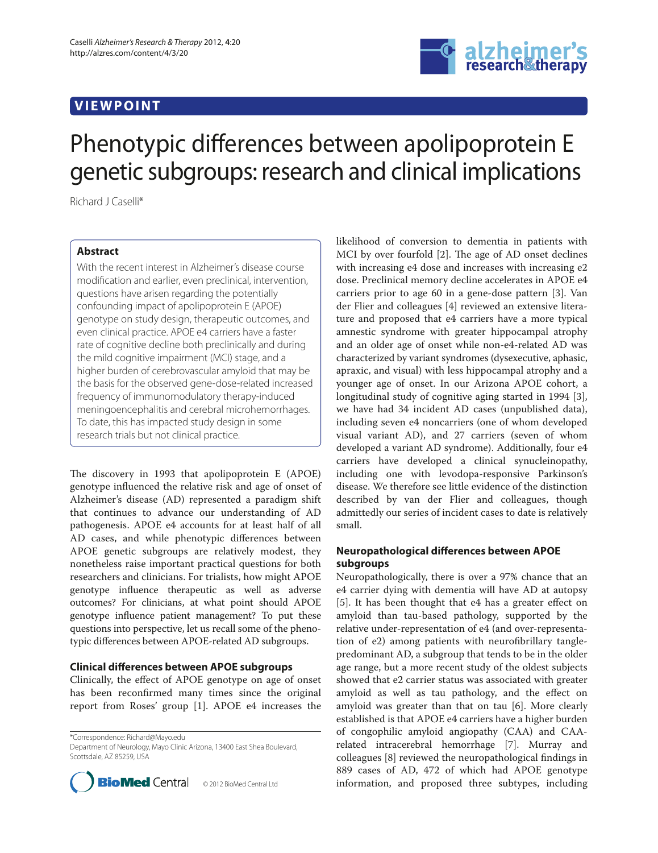## **VIEWPOINT**



# Phenotypic differences between apolipoprotein E genetic subgroups: research and clinical implications

Richard J Caselli\*

## **Abstract**

With the recent interest in Alzheimer's disease course modification and earlier, even preclinical, intervention, questions have arisen regarding the potentially confounding impact of apolipoprotein E (APOE) genotype on study design, therapeutic outcomes, and even clinical practice. APOE e4 carriers have a faster rate of cognitive decline both preclinically and during the mild cognitive impairment (MCI) stage, and a higher burden of cerebrovascular amyloid that may be the basis for the observed gene-dose-related increased frequency of immunomodulatory therapy-induced meningoencephalitis and cerebral microhemorrhages. To date, this has impacted study design in some research trials but not clinical practice.

The discovery in 1993 that apolipoprotein E (APOE) genotype influenced the relative risk and age of onset of Alzheimer's disease (AD) represented a paradigm shift that continues to advance our understanding of AD pathogenesis. APOE e4 accounts for at least half of all AD cases, and while phenotypic differences between APOE genetic subgroups are relatively modest, they nonetheless raise important practical questions for both researchers and clinicians. For trialists, how might APOE genotype influence therapeutic as well as adverse outcomes? For clinicians, at what point should APOE genotype influence patient management? To put these questions into perspective, let us recall some of the phenotypic differences between APOE-related AD subgroups.

## **Clinical diff erences between APOE subgroups**

Clinically, the effect of APOE genotype on age of onset has been reconfirmed many times since the original report from Roses' group [1]. APOE e4 increases the

\*Correspondence: Richard@Mayo.edu

Department of Neurology, Mayo Clinic Arizona, 13400 East Shea Boulevard, Scottsdale, AZ 85259, USA



likelihood of conversion to dementia in patients with MCI by over fourfold [2]. The age of AD onset declines with increasing e4 dose and increases with increasing e2 dose. Preclinical memory decline accelerates in APOE e4 carriers prior to age 60 in a gene-dose pattern [3]. Van der Flier and colleagues [4] reviewed an extensive literature and proposed that e4 carriers have a more typical amnestic syndrome with greater hippocampal atrophy and an older age of onset while non-e4-related AD was characterized by variant syndromes (dysexecutive, aphasic, apraxic, and visual) with less hippocampal atrophy and a younger age of onset. In our Arizona APOE cohort, a longitudinal study of cognitive aging started in 1994 [3], we have had 34 incident AD cases (unpublished data), including seven e4 noncarriers (one of whom developed visual variant AD), and 27 carriers (seven of whom developed a variant AD syndrome). Additionally, four e4 carriers have developed a clinical synucleinopathy, including one with levodopa-responsive Parkinson's disease. We therefore see little evidence of the distinction described by van der Flier and colleagues, though admittedly our series of incident cases to date is relatively small.

## **Neuropathological differences between APOE subgroups**

Neuropathologically, there is over a 97% chance that an e4 carrier dying with dementia will have AD at autopsy [5]. It has been thought that e4 has a greater effect on amyloid than tau-based pathology, supported by the relative under-representation of e4 (and over-representation of e2) among patients with neurofibrillary tanglepredominant AD, a subgroup that tends to be in the older age range, but a more recent study of the oldest subjects showed that e2 carrier status was associated with greater amyloid as well as tau pathology, and the effect on amyloid was greater than that on tau [6]. More clearly established is that APOE e4 carriers have a higher burden of congophilic amyloid angiopathy (CAA) and CAArelated intracerebral hemorrhage [7]. Murray and colleagues [8] reviewed the neuropathological findings in 889 cases of AD, 472 of which had APOE genotype information, and proposed three subtypes, including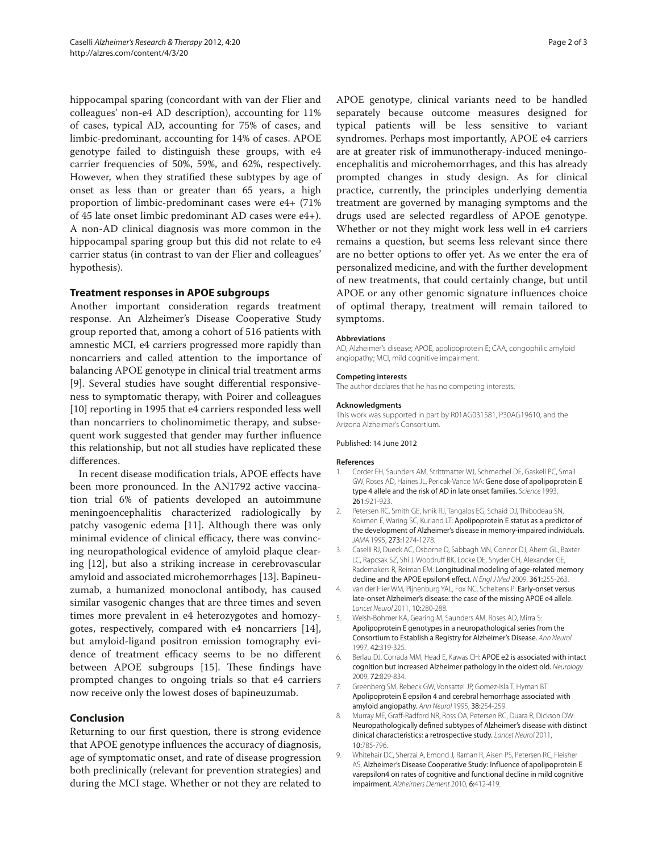hippocampal sparing (concordant with van der Flier and colleagues' non-e4 AD description), accounting for 11% of cases, typical AD, accounting for 75% of cases, and limbic-predominant, accounting for 14% of cases. APOE genotype failed to distinguish these groups, with e4 carrier frequencies of 50%, 59%, and 62%, respectively. However, when they stratified these subtypes by age of onset as less than or greater than 65 years, a high proportion of limbic-predominant cases were e4+ (71% of 45 late onset limbic predominant AD cases were e4+). A non-AD clinical diagnosis was more common in the hippocampal sparing group but this did not relate to e4 carrier status (in contrast to van der Flier and colleagues' hypothesis).

### **Treatment responses in APOE subgroups**

Another important consideration regards treatment response. An Alzheimer's Disease Cooperative Study group reported that, among a cohort of 516 patients with amnestic MCI, e4 carriers progressed more rapidly than noncarriers and called attention to the importance of balancing APOE genotype in clinical trial treatment arms [9]. Several studies have sought differential responsiveness to symptomatic therapy, with Poirer and colleagues [10] reporting in 1995 that e4 carriers responded less well than noncarriers to cholinomimetic therapy, and subsequent work suggested that gender may further influence this relationship, but not all studies have replicated these differences.

In recent disease modification trials, APOE effects have been more pronounced. In the AN1792 active vaccination trial 6% of patients developed an autoimmune meningoencephalitis characterized radiologically by patchy vasogenic edema [11]. Although there was only minimal evidence of clinical efficacy, there was convincing neuropathological evidence of amyloid plaque clearing [12], but also a striking increase in cerebrovascular amyloid and associated microhemorrhages [13]. Bapineuzumab, a humanized monoclonal antibody, has caused similar vasogenic changes that are three times and seven times more prevalent in e4 heterozygotes and homozygotes, respectively, compared with e4 noncarriers [14], but amyloid-ligand positron emission tomography evidence of treatment efficacy seems to be no different between APOE subgroups [15]. These findings have prompted changes to ongoing trials so that e4 carriers now receive only the lowest doses of bapineuzumab.

## **Conclusion**

Returning to our first question, there is strong evidence that APOE genotype influences the accuracy of diagnosis, age of symptomatic onset, and rate of disease progression both preclinically (relevant for prevention strategies) and during the MCI stage. Whether or not they are related to

APOE genotype, clinical variants need to be handled separately because outcome measures designed for typical patients will be less sensitive to variant syndromes. Perhaps most importantly, APOE e4 carriers are at greater risk of immunotherapy-induced meningoencephalitis and microhemorrhages, and this has already prompted changes in study design. As for clinical practice, currently, the principles underlying dementia treatment are governed by managing symptoms and the drugs used are selected regardless of APOE genotype. Whether or not they might work less well in e4 carriers remains a question, but seems less relevant since there are no better options to offer yet. As we enter the era of personalized medicine, and with the further development of new treatments, that could certainly change, but until APOE or any other genomic signature influences choice of optimal therapy, treatment will remain tailored to symptoms.

#### **Abbreviations**

AD, Alzheimer's disease; APOE, apolipoprotein E; CAA, congophilic amyloid angiopathy; MCI, mild cognitive impairment.

#### **Competing interests**

The author declares that he has no competing interests.

#### **Acknowledgments**

This work was supported in part by R01AG031581, P30AG19610, and the Arizona Alzheimer's Consortium.

#### Published: 14 June 2012

#### **References**

- 1. Corder EH, Saunders AM, Strittmatter WJ, Schmechel DE, Gaskell PC, Small GW, Roses AD, Haines JL, Pericak-Vance MA: Gene dose of apolipoprotein E type 4 allele and the risk of AD in late onset families. Science 1993, 261:921-923.
- 2. Petersen RC, Smith GE, Ivnik RJ, Tangalos EG, Schaid DJ, Thibodeau SN, Kokmen E, Waring SC, Kurland LT: Apolipoprotein E status as a predictor of the development of Alzheimer's disease in memory-impaired individuals. JAMA 1995, 273:1274-1278.
- 3. Caselli RJ, Dueck AC, Osborne D, Sabbagh MN, Connor DJ, Ahern GL, Baxter LC, Rapcsak SZ, Shi J, Woodruff BK, Locke DE, Snyder CH, Alexander GE, Rademakers R, Reiman EM: Longitudinal modeling of age-related memory decline and the APOE epsilon4 effect. N Engl J Med 2009, 361:255-263.
- 4. van der Flier WM, Pijnenburg YAL, Fox NC, Scheltens P: Early-onset versus late-onset Alzheimer's disease: the case of the missing APOE e4 allele. Lancet Neurol 2011, 10:280-288.
- 5. Welsh-Bohmer KA, Gearing M, Saunders AM, Roses AD, Mirra S: Apolipoprotein E genotypes in a neuropathological series from the Consortium to Establish a Registry for Alzheimer's Disease. Ann Neurol 1997, 42:319-325.
- 6. Berlau DJ, Corrada MM, Head E, Kawas CH: APOE e2 is associated with intact cognition but increased Alzheimer pathology in the oldest old. Neurology 2009, 72:829-834.
- 7. Greenberg SM, Rebeck GW, Vonsattel JP, Gomez-Isla T, Hyman BT: Apolipoprotein E epsilon 4 and cerebral hemorrhage associated with amyloid angiopathy. Ann Neurol 1995, 38:254-259.
- 8. Murray ME, Graff-Radford NR, Ross OA, Petersen RC, Duara R, Dickson DW: Neuropathologically defined subtypes of Alzheimer's disease with distinct clinical characteristics: a retrospective study. Lancet Neurol 2011, 10:785-796.
- 9. Whitehair DC, Sherzai A, Emond J, Raman R, Aisen PS, Petersen RC, Fleisher AS, Alzheimer's Disease Cooperative Study: Influence of apolipoprotein E varepsilon4 on rates of cognitive and functional decline in mild cognitive impairment. Alzheimers Dement 2010, 6:412-419.